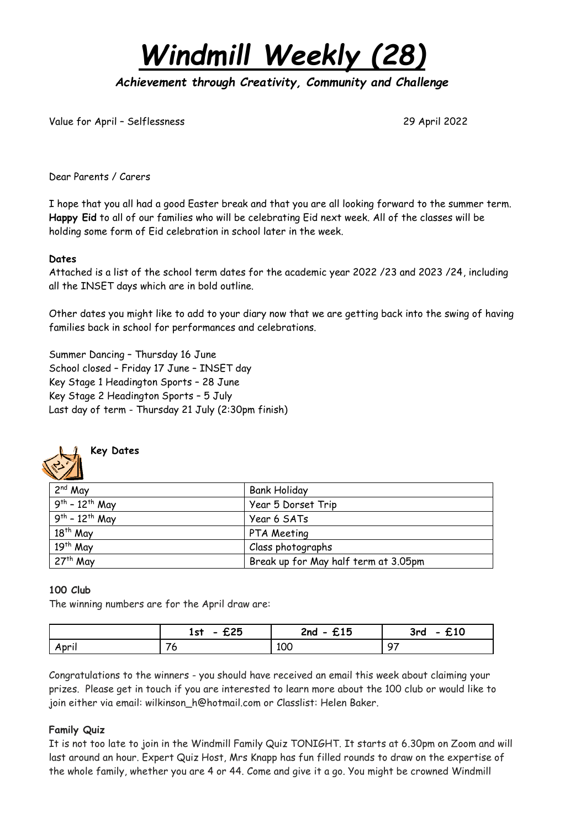

*Achievement through Creativity, Community and Challenge* 

Value for April – Selflessness 29 April 2022

Dear Parents / Carers

I hope that you all had a good Easter break and that you are all looking forward to the summer term. **Happy Eid** to all of our families who will be celebrating Eid next week. All of the classes will be holding some form of Eid celebration in school later in the week.

#### **Dates**

Attached is a list of the school term dates for the academic year 2022 /23 and 2023 /24, including all the INSET days which are in bold outline.

Other dates you might like to add to your diary now that we are getting back into the swing of having families back in school for performances and celebrations.

Summer Dancing – Thursday 16 June School closed – Friday 17 June – INSET day Key Stage 1 Headington Sports – 28 June Key Stage 2 Headington Sports – 5 July Last day of term - Thursday 21 July (2:30pm finish)



**Key Dates**

| 2 <sup>nd</sup> May              | <b>Bank Holiday</b>                  |
|----------------------------------|--------------------------------------|
| $.9^{th}$ - 12 <sup>th</sup> May | Year 5 Dorset Trip                   |
| $9^{th}$ - 12 <sup>th</sup> May  | Year 6 SATs                          |
| 18 <sup>th</sup> May             | PTA Meeting                          |
| 19 <sup>th</sup> May             | Class photographs                    |
| 27 <sup>th</sup> May             | Break up for May half term at 3.05pm |

#### **100 Club**

The winning numbers are for the April draw are:

|       | ヂク斥<br>1st<br>んんし | $2nd - £15$ | £10<br>3rd<br>$\bullet$ |
|-------|-------------------|-------------|-------------------------|
| April | u                 | 100         | $\circ$                 |

Congratulations to the winners - you should have received an email this week about claiming your prizes. Please get in touch if you are interested to learn more about the 100 club or would like to join either via email: wilkinson\_h@hotmail.com or Classlist: Helen Baker.

#### **Family Quiz**

It is not too late to join in the Windmill Family Quiz TONIGHT. It starts at 6.30pm on Zoom and will last around an hour. Expert Quiz Host, Mrs Knapp has fun filled rounds to draw on the expertise of the whole family, whether you are 4 or 44. Come and give it a go. You might be crowned Windmill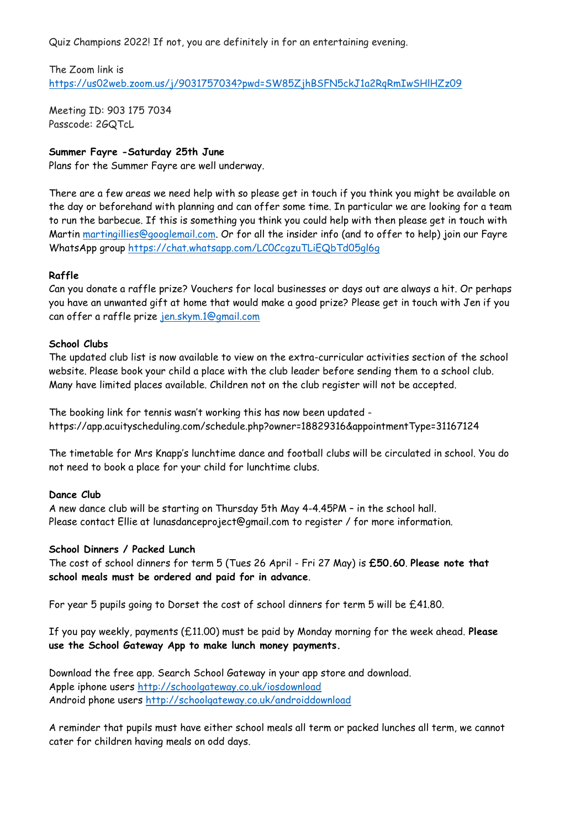Quiz Champions 2022! If not, you are definitely in for an entertaining evening.

#### The Zoom link is

<https://us02web.zoom.us/j/9031757034?pwd=SW85ZjhBSFN5ckJ1a2RqRmIwSHlHZz09>

Meeting ID: 903 175 7034 Passcode: 2GQTcL

#### **Summer Fayre -Saturday 25th June**

Plans for the Summer Fayre are well underway.

There are a few areas we need help with so please get in touch if you think you might be available on the day or beforehand with planning and can offer some time. In particular we are looking for a team to run the barbecue. If this is something you think you could help with then please get in touch with Martin [martingillies@googlemail.com.](mailto:martingillies@googlemail.com) Or for all the insider info (and to offer to help) join our Fayre WhatsApp group <https://chat.whatsapp.com/LC0CcgzuTLiEQbTd05gl6g>

#### **Raffle**

Can you donate a raffle prize? Vouchers for local businesses or days out are always a hit. Or perhaps you have an unwanted gift at home that would make a good prize? Please get in touch with Jen if you can offer a raffle prize [jen.skym.1@gmail.com](mailto:jen.skym.1@gmail.com)

#### **School Clubs**

The updated club list is now available to view on the extra-curricular activities section of the school website. Please book your child a place with the club leader before sending them to a school club. Many have limited places available. Children not on the club register will not be accepted.

The booking link for tennis wasn't working this has now been updated <https://app.acuityscheduling.com/schedule.php?owner=18829316&appointmentType=31167124>

The timetable for Mrs Knapp's lunchtime dance and football clubs will be circulated in school. You do not need to book a place for your child for lunchtime clubs.

#### **Dance Club**

A new dance club will be starting on Thursday 5th May 4-4.45PM – in the school hall. Please contact Ellie at lunasdanceproject@gmail.com to register / for more information.

#### **School Dinners / Packed Lunch**

The cost of school dinners for term 5 (Tues 26 April - Fri 27 May) is **£50.60**. **Please note that school meals must be ordered and paid for in advance**.

For year 5 pupils going to Dorset the cost of school dinners for term 5 will be £41.80.

If you pay weekly, payments (£11.00) must be paid by Monday morning for the week ahead. **Please use the School Gateway App to make lunch money payments.**

Download the free app. Search School Gateway in your app store and download. Apple iphone users <http://schoolgateway.co.uk/iosdownload> Android phone users <http://schoolgateway.co.uk/androiddownload>

A reminder that pupils must have either school meals all term or packed lunches all term, we cannot cater for children having meals on odd days.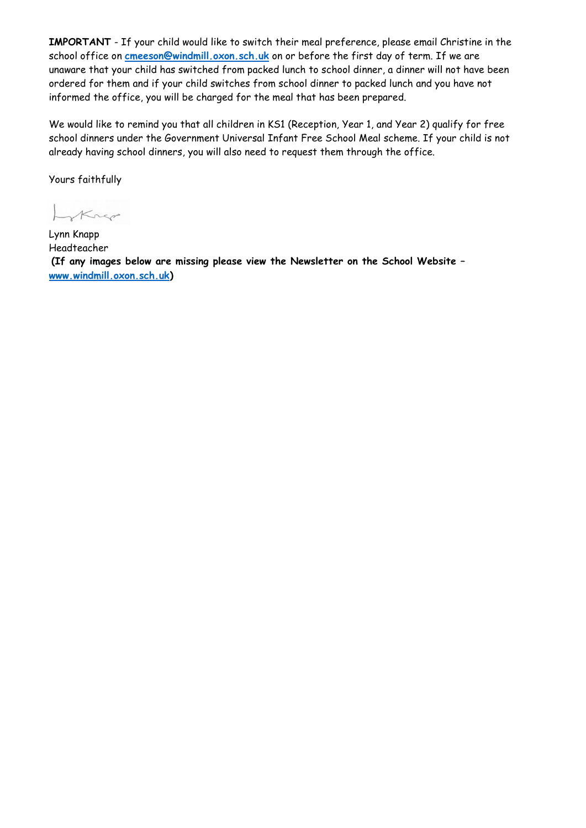**IMPORTANT** - If your child would like to switch their meal preference, please email Christine in the school office on **[cmeeson@windmill.oxon.sch.uk](mailto:cmeeson@windmill.oxon.sch.uk)** on or before the first day of term. If we are unaware that your child has switched from packed lunch to school dinner, a dinner will not have been ordered for them and if your child switches from school dinner to packed lunch and you have not informed the office, you will be charged for the meal that has been prepared.

We would like to remind you that all children in KS1 (Reception, Year 1, and Year 2) qualify for free school dinners under the Government Universal Infant Free School Meal scheme. If your child is not already having school dinners, you will also need to request them through the office.

Yours faithfully

LyKnep

Lynn Knapp Headteacher **(If any images below are missing please view the Newsletter on the School Website – [www.windmill.oxon.sch.uk\)](http://www.windmill.oxon.sch.uk/)**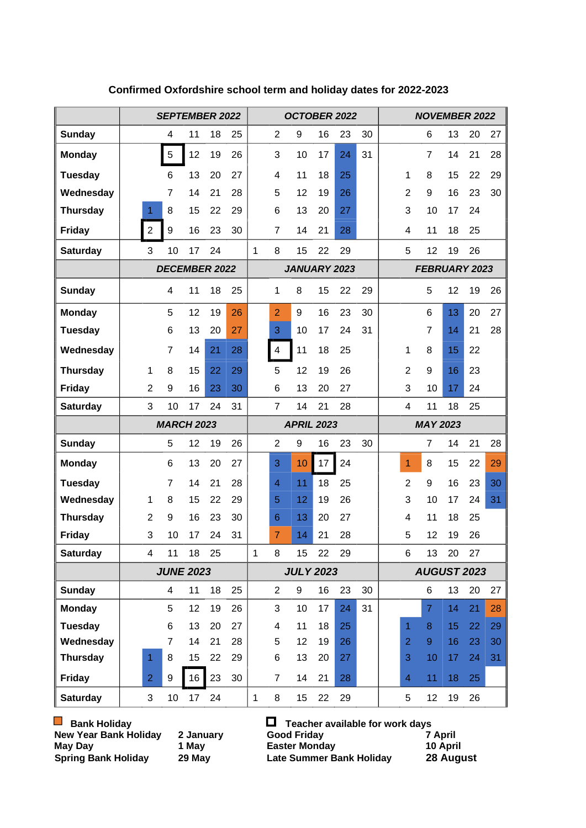|                              | <b>SEPTEMBER 2022</b> |                     |          |                     |          |   |                | OCTOBER 2022      |               |          |    | <b>NOVEMBER 2022</b> |                     |                      |          |          |          |  |
|------------------------------|-----------------------|---------------------|----------|---------------------|----------|---|----------------|-------------------|---------------|----------|----|----------------------|---------------------|----------------------|----------|----------|----------|--|
| <b>Sunday</b>                |                       | 4                   | 11       | 18                  | 25       |   | $\overline{2}$ | 9                 | 16            | 23       | 30 |                      |                     | 6                    | 13       | 20       | 27       |  |
| <b>Monday</b>                |                       | $\sqrt{5}$          | 12       | 19                  | 26       |   | 3              | 10                | 17            | 24       | 31 |                      |                     | $\overline{7}$       | 14       | 21       | 28       |  |
| <b>Tuesday</b>               |                       | 6                   | 13       | 20                  | 27       |   | 4              | 11                | 18            | 25       |    |                      | 1                   | 8                    | 15       | 22       | 29       |  |
| Wednesday                    |                       | 7                   | 14       | 21                  | 28       |   | 5              | 12                | 19            | 26       |    |                      | $\overline{2}$      | 9                    | 16       | 23       | 30       |  |
| <b>Thursday</b>              | 1.                    | 8                   | 15       | 22                  | 29       |   | 6              | 13                | 20            | 27       |    |                      | 3                   | 10                   | 17       | 24       |          |  |
| <b>Friday</b>                | $\overline{2}$        | $\boldsymbol{9}$    | 16       | 23                  | 30       |   | $\overline{7}$ | 14                | 21            | 28       |    |                      | 4                   | 11                   | 18       | 25       |          |  |
| <b>Saturday</b>              | 3                     | 10                  | 17       | 24                  |          | 1 | 8              | 15                | 22            | 29       |    |                      | 5                   | 12                   | 19       | 26       |          |  |
|                              | <b>DECEMBER 2022</b>  |                     |          | <b>JANUARY 2023</b> |          |   |                |                   | FEBRUARY 2023 |          |    |                      |                     |                      |          |          |          |  |
| <b>Sunday</b>                |                       | 4                   | 11       | 18                  | 25       |   | 1              | 8                 | 15            | 22       | 29 |                      |                     | 5                    | 12       | 19       | 26       |  |
| <b>Monday</b>                |                       | 5                   | 12       | 19                  | 26       |   | $\overline{2}$ | 9                 | 16            | 23       | 30 |                      |                     | 6                    | 13       | 20       | 27       |  |
| <b>Tuesday</b>               |                       | 6                   | 13       | 20                  | 27       |   | 3              | 10                | 17            | 24       | 31 |                      |                     | $\overline{7}$       | 14       | 21       | 28       |  |
| Wednesday                    |                       | 7                   | 14       | 21                  | 28       |   | $\overline{4}$ | 11                | 18            | 25       |    |                      | 1                   | 8                    | 15       | 22       |          |  |
| <b>Thursday</b>              | $\mathbf{1}$          | 8                   | 15       | 22                  | 29       |   | 5              | 12                | 19            | 26       |    |                      | $\overline{2}$      | 9                    | 16       | 23       |          |  |
| <b>Friday</b>                | $\overline{2}$        | 9                   | 16       | 23                  | 30       |   | 6              | 13                | 20            | 27       |    |                      | 3                   | 10                   | 17       | 24       |          |  |
| <b>Saturday</b>              | 3                     | 10                  | 17       | 24                  | 31       |   | $\overline{7}$ | 14                | 21            | 28       |    |                      | 4                   | 11                   | 18       | 25       |          |  |
|                              |                       | <b>MARCH 2023</b>   |          |                     |          |   |                | <b>APRIL 2023</b> |               |          |    | <b>MAY 2023</b>      |                     |                      |          |          |          |  |
| <b>Sunday</b>                |                       | 5                   | 12       | 19                  | 26       |   | $\overline{2}$ | 9                 | 16            | 23       | 30 |                      |                     | $\overline{7}$       | 14       | 21       | 28       |  |
| <b>Monday</b>                |                       | 6                   | 13       | 20                  | 27       |   | 3              | 10                | 17            | 24       |    |                      | 1                   | 8                    | 15       | 22       | 29       |  |
| <b>Tuesday</b>               |                       | 7                   | 14       | 21                  | 28       |   | 4              | 11                | 18            | 25       |    |                      | $\overline{2}$      | 9                    | 16       | 23       | 30       |  |
| Wednesday                    | 1                     | 8                   | 15       | 22                  | 29       |   | 5              | 12                | 19            | 26       |    |                      | 3                   | 10                   | 17       | 24       | 31       |  |
| <b>Thursday</b>              | 2                     | 9                   | 16       | 23                  | 30       |   | 6              | 13                | 20            | 27       |    |                      | 4                   | 11                   | 18       | 25       |          |  |
| <b>Friday</b>                | 3                     | 10                  | 17       | 24                  | 31       |   | $\overline{7}$ | 14                | 21            | 28       |    |                      | 5                   | 12                   | 19       | 26       |          |  |
| <b>Saturday</b>              | 4                     | 11                  | 18       | 25                  |          | 1 | 8              | 15                | 22            | 29       |    |                      | 6                   | 13                   | 20       | 27       |          |  |
|                              |                       | <b>JUNE 2023</b>    |          |                     |          |   |                | <b>JULY 2023</b>  |               |          |    | <b>AUGUST 2023</b>   |                     |                      |          |          |          |  |
| <b>Sunday</b>                |                       | $\overline{4}$      | 11       | 18                  | 25       |   | $\overline{2}$ | 9                 | 16            | 23       | 30 |                      |                     | 6                    | 13       | 20       | 27       |  |
| <b>Monday</b>                |                       | 5                   | 12       | 19                  | 26       |   | 3              | 10                | 17            | 24       | 31 |                      |                     | $\overline{7}$       | 14       | 21       | 28       |  |
| <b>Tuesday</b>               |                       | 6                   | 13       | 20                  | 27       |   | 4              | 11                | 18            | 25       |    |                      | $\mathbf{1}$        | $\bf 8$              | 15       | 22       | 29       |  |
| Wednesday<br><b>Thursday</b> | 1                     | $\overline{7}$<br>8 | 14<br>15 | 21<br>22            | 28<br>29 |   | 5<br>6         | 12<br>13          | 19<br>20      | 26<br>27 |    |                      | $\overline{2}$<br>3 | $\overline{9}$<br>10 | 16<br>17 | 23<br>24 | 30<br>31 |  |
|                              |                       |                     |          |                     |          |   |                |                   |               |          |    |                      |                     |                      |          |          |          |  |
| <b>Friday</b>                | $\overline{2}$        | 9                   | 16       | 23                  | 30       |   | $\overline{7}$ | 14                | 21            | 28       |    |                      | $\overline{4}$      | 11                   | 18       | 25       |          |  |
| <b>Saturday</b>              | 3                     | 10                  | 17       | 24                  |          | 1 | 8              | 15                | 22            | 29       |    |                      | 5                   | 12                   | 19       | 26       |          |  |

### **Confirmed Oxfordshire school term and holiday dates for 2022-2023**

■ Bank Holiday **Teacher available for work days New Year Bank Holiday 2 January Good Friday 7 April May Day 1 May Easter Monday 10 April Spring Bank Holiday 29 May Late Summer Bank Holiday 28 August**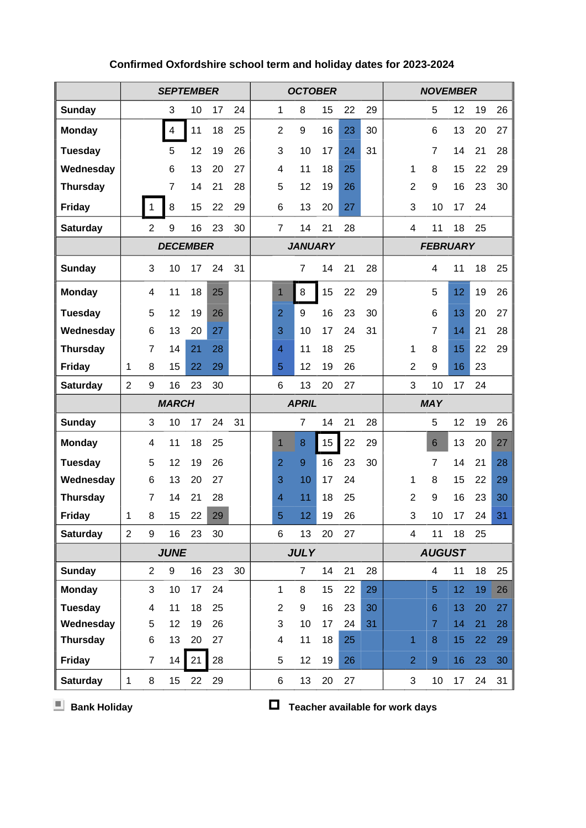|                                 | <b>SEPTEMBER</b> |                     |                |          |          |    | <b>OCTOBER</b> | <b>NOVEMBER</b>     |                |          |          |          |                 |                |                  |          |          |          |  |
|---------------------------------|------------------|---------------------|----------------|----------|----------|----|----------------|---------------------|----------------|----------|----------|----------|-----------------|----------------|------------------|----------|----------|----------|--|
| <b>Sunday</b>                   |                  |                     | 3              | 10       | 17       | 24 |                | 1                   | 8              | 15       | 22       | 29       |                 |                | 5                | 12       | 19       | 26       |  |
| <b>Monday</b>                   |                  |                     | $\overline{4}$ | 11       | 18       | 25 |                | $\overline{2}$      | 9              | 16       | 23       | 30       |                 |                | 6                | 13       | 20       | 27       |  |
| <b>Tuesday</b>                  |                  |                     | 5              | 12       | 19       | 26 |                | 3                   | 10             | 17       | 24       | 31       |                 |                | $\overline{7}$   | 14       | 21       | 28       |  |
| Wednesday                       |                  |                     | 6              | 13       | 20       | 27 |                | 4                   | 11             | 18       | 25       |          |                 | 1              | 8                | 15       | 22       | 29       |  |
| <b>Thursday</b>                 |                  |                     | $\overline{7}$ | 14       | 21       | 28 |                | 5                   | 12             | 19       | 26       |          |                 | $\overline{2}$ | 9                | 16       | 23       | 30       |  |
| Friday                          |                  |                     | 8              | 15       | 22       | 29 |                | $\,6$               | 13             | 20       | 27       |          |                 | 3              | 10               | 17       | 24       |          |  |
| <b>Saturday</b>                 |                  | $\overline{2}$      | 9              | 16       | 23       | 30 |                | $\overline{7}$      | 14             | 21       | 28       |          |                 | 4              | 11               | 18       | 25       |          |  |
|                                 | <b>DECEMBER</b>  |                     |                |          |          |    |                | <b>JANUARY</b>      |                |          |          |          | <b>FEBRUARY</b> |                |                  |          |          |          |  |
| <b>Sunday</b>                   |                  | 3                   | 10             | 17       | 24       | 31 |                |                     | $\overline{7}$ | 14       | 21       | 28       |                 |                | 4                | 11       | 18       | 25       |  |
| <b>Monday</b>                   |                  | 4                   | 11             | 18       | 25       |    |                | $\mathbf{1}$        | 8              | 15       | 22       | 29       |                 |                | 5                | 12       | 19       | 26       |  |
| <b>Tuesday</b>                  |                  | 5                   | 12             | 19       | 26       |    |                | $\overline{2}$      | 9              | 16       | 23       | 30       |                 |                | 6                | 13       | 20       | 27       |  |
| Wednesday                       |                  | 6                   | 13             | 20       | 27       |    |                | 3                   | 10             | 17       | 24       | 31       |                 |                | 7                | 14       | 21       | 28       |  |
| <b>Thursday</b>                 |                  | $\overline{7}$      | 14             | 21       | 28       |    |                | 4                   | 11             | 18       | 25       |          |                 | 1              | 8                | 15       | 22       | 29       |  |
| Friday                          | 1                | 8                   | 15             | 22       | 29       |    |                | 5                   | 12             | 19       | 26       |          |                 | $\overline{2}$ | 9                | 16       | 23       |          |  |
| <b>Saturday</b>                 | $\overline{2}$   | 9                   | 16             | 23       | 30       |    |                | 6                   | 13             | 20       | 27       |          |                 | 3              | 10               | 17       | 24       |          |  |
|                                 |                  |                     | <b>MARCH</b>   |          |          |    |                |                     | <b>MAY</b>     |          |          |          |                 |                |                  |          |          |          |  |
| <b>Sunday</b>                   |                  | 3                   | 10             | 17       | 24       | 31 |                |                     | $\overline{7}$ | 14       | 21       | 28       |                 |                | 5                | 12       | 19       | 26       |  |
| <b>Monday</b>                   |                  | 4                   | 11             | 18       | 25       |    |                | 1                   | 8              | 15       | 22       | 29       |                 |                | 6                | 13       | 20       | 27       |  |
| <b>Tuesday</b>                  |                  | 5                   | 12             | 19       | 26       |    |                | $\overline{2}$      | 9              | 16       | 23       | 30       |                 |                | $\overline{7}$   | 14       | 21       | 28       |  |
| Wednesday                       |                  | 6                   | 13             | 20       | 27       |    |                | 3                   | 10             | 17       | 24       |          |                 | 1              | 8                | 15       | 22       | 29       |  |
| <b>Thursday</b>                 |                  | $\overline{7}$      | 14             | 21       | 28       |    |                | 4                   | 11             | 18       | 25       |          |                 | 2              | 9                | 16       | 23       | 30       |  |
| Friday                          | 1                | 8                   | 15             | 22       | 29       |    |                | 5                   | 12             | 19       | 26       |          |                 | 3              | 10               | 17       | 24       | 31       |  |
| <b>Saturday</b>                 | $\overline{2}$   | 9                   | 16             | 23       | 30       |    |                | 6                   | 13             | 20       | 27       |          |                 | 4              | 11               | 18       | 25       |          |  |
|                                 |                  |                     | <b>JUNE</b>    |          |          |    | <b>JULY</b>    |                     |                |          |          |          | <b>AUGUST</b>   |                |                  |          |          |          |  |
| <b>Sunday</b>                   |                  | $\overline{2}$      | 9              | 16       | 23       | 30 |                |                     | $\overline{7}$ | 14       | 21       | 28       |                 |                | 4                | 11       | 18       | 25       |  |
| <b>Monday</b><br><b>Tuesday</b> |                  | 3<br>$\overline{4}$ | 10<br>11       | 17<br>18 | 24<br>25 |    |                | 1<br>$\overline{2}$ | 8<br>9         | 15<br>16 | 22<br>23 | 29<br>30 |                 |                | 5<br>6           | 12<br>13 | 19       | 26<br>27 |  |
| Wednesday                       |                  | 5                   | 12             | 19       | 26       |    |                | 3                   | 10             | 17       | 24       | 31       |                 |                | $\overline{7}$   | 14       | 20<br>21 | 28       |  |
| <b>Thursday</b>                 |                  | 6                   | 13             | 20       | 27       |    |                | 4                   | 11             | 18       | 25       |          |                 | $\overline{1}$ | $\boldsymbol{8}$ | 15       | 22       | 29       |  |
| <b>Friday</b>                   |                  | $\overline{7}$      | 14             | 21       | 28       |    |                | 5                   | 12             | 19       | 26       |          |                 | $\overline{2}$ | $\boldsymbol{9}$ | 16       | 23       | 30       |  |
| <b>Saturday</b>                 | $\mathbf 1$      | 8                   | 15             | 22       | 29       |    |                | 6                   | 13             | 20       | 27       |          |                 | 3              | 10               | 17       | 24       | 31       |  |

## **Confirmed Oxfordshire school term and holiday dates for 2023-2024**

**E** Bank Holiday **Teacher available for work days**